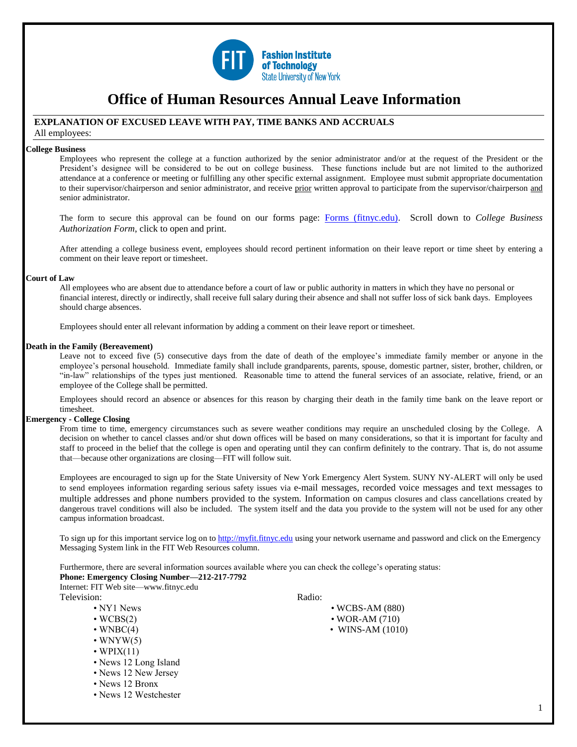

# **Office of Human Resources Annual Leave Information**

# **EXPLANATION OF EXCUSED LEAVE WITH PAY, TIME BANKS AND ACCRUALS**

All employees:

# **College Business**

Employees who represent the college at a function authorized by the senior administrator and/or at the request of the President or the President's designee will be considered to be out on college business. These functions include but are not limited to the authorized attendance at a conference or meeting or fulfilling any other specific external assignment. Employee must submit appropriate documentation to their supervisor/chairperson and senior administrator, and receive prior written approval to participate from the supervisor/chairperson and senior administrator.

The form to secure this approval can be found on our forms page: [Forms \(fitnyc.edu\).](https://www.fitnyc.edu/about/administration/hr/current-employees/forms.php) Scroll down to *College Business Authorization Form*, click to open and print.

After attending a college business event, employees should record pertinent information on their leave report or time sheet by entering a comment on their leave report or timesheet.

## **Court of Law**

All employees who are absent due to attendance before a court of law or public authority in matters in which they have no personal or financial interest, directly or indirectly, shall receive full salary during their absence and shall not suffer loss of sick bank days. Employees should charge absences.

Employees should enter all relevant information by adding a comment on their leave report or timesheet.

# **Death in the Family (Bereavement)**

Leave not to exceed five (5) consecutive days from the date of death of the employee's immediate family member or anyone in the employee's personal household. Immediate family shall include grandparents, parents, spouse, domestic partner, sister, brother, children, or "in-law" relationships of the types just mentioned. Reasonable time to attend the funeral services of an associate, relative, friend, or an employee of the College shall be permitted.

Employees should record an absence or absences for this reason by charging their death in the family time bank on the leave report or timesheet.

## **Emergency - College Closing**

From time to time, emergency circumstances such as severe weather conditions may require an unscheduled closing by the College. A decision on whether to cancel classes and/or shut down offices will be based on many considerations, so that it is important for faculty and staff to proceed in the belief that the college is open and operating until they can confirm definitely to the contrary. That is, do not assume that—because other organizations are closing—FIT will follow suit.

Employees are encouraged to sign up for the State University of New York Emergency Alert System. SUNY NY-ALERT will only be used to send employees information regarding serious safety issues via e-mail messages, recorded voice messages and text messages to multiple addresses and phone numbers provided to the system. Information on campus closures and class cancellations created by dangerous travel conditions will also be included. The system itself and the data you provide to the system will not be used for any other campus information broadcast.

To sign up for this important service log on t[o http://myfit.fitnyc.edu](http://myfit.fitnyc.edu/) using your network username and password and click on the Emergency Messaging System link in the FIT Web Resources column.

Furthermore, there are several information sources available where you can check the college's operating status: **Phone: Emergency Closing Number—212-217-7792** 

Internet: FIT Web site—www.fitnyc.edu

Television: Radio:

- 
- 
- 
- $\cdot$  WNYW(5)
- WPIX $(11)$
- News 12 Long Island
- News 12 New Jersey
- News 12 Bronx
- News 12 Westchester

- NY1 News WCBS-AM (880)
- $\cdot$  WCBS(2)  $\cdot$  WOR-AM (710)
- $\bullet$  WNBC(4)  $\bullet$  WNS-AM (1010)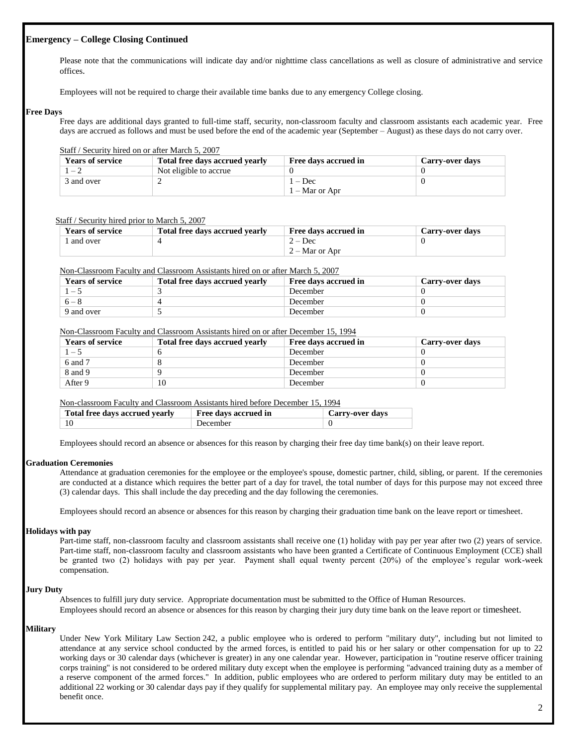# **Emergency – College Closing Continued**

Please note that the communications will indicate day and/or nighttime class cancellations as well as closure of administrative and service offices.

Employees will not be required to charge their available time banks due to any emergency College closing.

# **Free Days**

Free days are additional days granted to full-time staff, security, non-classroom faculty and classroom assistants each academic year. Free days are accrued as follows and must be used before the end of the academic year (September – August) as these days do not carry over.

# Staff / Security hired on or after March 5, 2007

| <b>Years of service</b> | <b>Total free days accrued yearly</b> | Free days accrued in | Carry-over days |
|-------------------------|---------------------------------------|----------------------|-----------------|
| $-2$                    | Not eligible to accrue                |                      |                 |
| 3 and over              |                                       | $1 - Dec$            |                 |
|                         |                                       | $1 -$ Mar or Apr     |                 |

# Staff / Security hired prior to March 5, 2007

| <b>Years of service</b> | Total free davs accrued vearly | Free days accrued in | <b>Carry-over days</b> |
|-------------------------|--------------------------------|----------------------|------------------------|
| and over                |                                | $2 - Dec$            |                        |
|                         |                                | $2 -$ Mar or Apr     |                        |

## Non-Classroom Faculty and Classroom Assistants hired on or after March 5, 2007

| <b>Years of service</b> | Total free days accrued yearly | Free days accrued in | Carry-over days |
|-------------------------|--------------------------------|----------------------|-----------------|
|                         |                                | December             |                 |
| $6 - 8$                 |                                | December             |                 |
| 9 and over              |                                | December             |                 |

# Non-Classroom Faculty and Classroom Assistants hired on or after December 15, 1994

| <b>Years of service</b> | Total free days accrued yearly | Free days accrued in | <b>Carry-over days</b> |
|-------------------------|--------------------------------|----------------------|------------------------|
| $1 - 5$                 |                                | December             |                        |
| 6 and 7                 |                                | December             |                        |
| 8 and 9                 |                                | December             |                        |
| After 9                 | 10                             | December             |                        |

Non-classroom Faculty and Classroom Assistants hired before December 15, 1994

| Total free days accrued yearly | Free days accrued in | Carry-over days |
|--------------------------------|----------------------|-----------------|
|                                | December             |                 |

Employees should record an absence or absences for this reason by charging their free day time bank(s) on their leave report.

# **Graduation Ceremonies**

Attendance at graduation ceremonies for the employee or the employee's spouse, domestic partner, child, sibling, or parent. If the ceremonies are conducted at a distance which requires the better part of a day for travel, the total number of days for this purpose may not exceed three (3) calendar days. This shall include the day preceding and the day following the ceremonies.

Employees should record an absence or absences for this reason by charging their graduation time bank on the leave report or timesheet.

# **Holidays with pay**

Part-time staff, non-classroom faculty and classroom assistants shall receive one (1) holiday with pay per year after two (2) years of service. Part-time staff, non-classroom faculty and classroom assistants who have been granted a Certificate of Continuous Employment (CCE) shall be granted two (2) holidays with pay per year. Payment shall equal twenty percent (20%) of the employee's regular work-week compensation.

## **Jury Duty**

Absences to fulfill jury duty service. Appropriate documentation must be submitted to the Office of Human Resources. Employees should record an absence or absences for this reason by charging their jury duty time bank on the leave report or timesheet.

# **Military**

Under New York Military Law Section 242, a public employee who is ordered to perform "military duty", including but not limited to attendance at any service school conducted by the armed forces, is entitled to paid his or her salary or other compensation for up to 22 working days or 30 calendar days (whichever is greater) in any one calendar year. However, participation in "routine reserve officer training corps training" is not considered to be ordered military duty except when the employee is performing "advanced training duty as a member of a reserve component of the armed forces." In addition, public employees who are ordered to perform military duty may be entitled to an additional 22 working or 30 calendar days pay if they qualify for supplemental military pay. An employee may only receive the supplemental benefit once.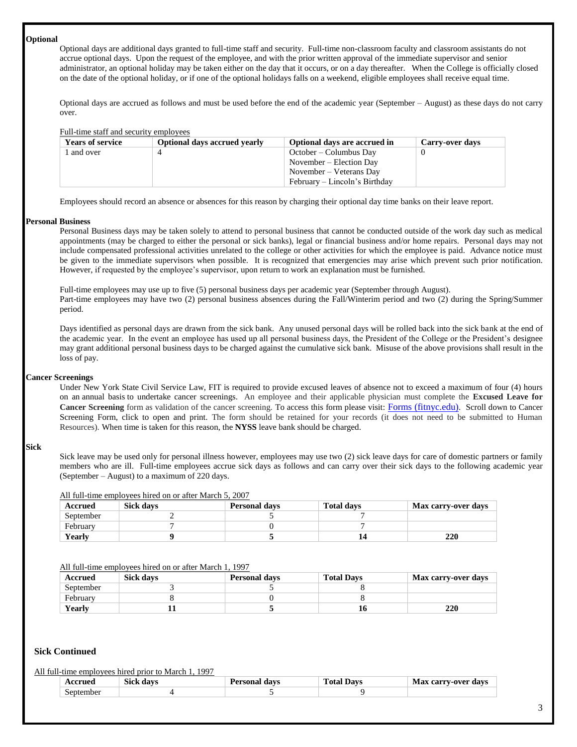#### **Optional**

Optional days are additional days granted to full-time staff and security. Full-time non-classroom faculty and classroom assistants do not accrue optional days. Upon the request of the employee, and with the prior written approval of the immediate supervisor and senior administrator, an optional holiday may be taken either on the day that it occurs, or on a day thereafter. When the College is officially closed on the date of the optional holiday, or if one of the optional holidays falls on a weekend, eligible employees shall receive equal time.

Optional days are accrued as follows and must be used before the end of the academic year (September – August) as these days do not carry over.

#### Full-time staff and security employees

| <b>Years of service</b> | <b>Optional days accrued yearly</b> | Optional days are accrued in  | Carry-over days |
|-------------------------|-------------------------------------|-------------------------------|-----------------|
| and over                |                                     | October – Columbus Day        |                 |
|                         |                                     | November – Election Day       |                 |
|                         |                                     | November – Veterans Day       |                 |
|                         |                                     | February – Lincoln's Birthday |                 |

Employees should record an absence or absences for this reason by charging their optional day time banks on their leave report.

#### **Personal Business**

Personal Business days may be taken solely to attend to personal business that cannot be conducted outside of the work day such as medical appointments (may be charged to either the personal or sick banks), legal or financial business and/or home repairs. Personal days may not include compensated professional activities unrelated to the college or other activities for which the employee is paid. Advance notice must be given to the immediate supervisors when possible. It is recognized that emergencies may arise which prevent such prior notification. However, if requested by the employee's supervisor, upon return to work an explanation must be furnished.

Full-time employees may use up to five (5) personal business days per academic year (September through August). Part-time employees may have two (2) personal business absences during the Fall/Winterim period and two (2) during the Spring/Summer period.

Days identified as personal days are drawn from the sick bank. Any unused personal days will be rolled back into the sick bank at the end of the academic year. In the event an employee has used up all personal business days, the President of the College or the President's designee may grant additional personal business days to be charged against the cumulative sick bank. Misuse of the above provisions shall result in the loss of pay.

#### **Cancer Screenings**

Under New York State Civil Service Law, FIT is required to provide excused leaves of absence not to exceed a maximum of four (4) hours on an annual basis to undertake cancer screenings. An employee and their applicable physician must complete the **Excused Leave for Cancer Screening** form as validation of the cancer screening. To access this form please visit: [Forms \(fitnyc.edu\)](https://www.fitnyc.edu/about/administration/hr/current-employees/forms.php). Scroll down to Cancer Screening Form, click to open and print. The form should be retained for your records (it does not need to be submitted to Human Resources). When time is taken for this reason, the **NYSS** leave bank should be charged.

# **Sick**

Sick leave may be used only for personal illness however, employees may use two (2) sick leave days for care of domestic partners or family members who are ill. Full-time employees accrue sick days as follows and can carry over their sick days to the following academic year (September – August) to a maximum of 220 days.

|  |  |  | All full-time employees hired on or after March 5, 2007 |  |
|--|--|--|---------------------------------------------------------|--|
|  |  |  |                                                         |  |

| Accrued   | <b>Sick days</b> | <b>Personal days</b> | <b>Total days</b> | Max carry-over days |
|-----------|------------------|----------------------|-------------------|---------------------|
| September |                  |                      |                   |                     |
| February  |                  |                      |                   |                     |
| Yearlv    |                  |                      |                   | <b>220</b>          |

#### All full-time employees hired on or after March 1, 1997

| Accrued   | <b>Sick days</b> | <b>Personal days</b> | <b>Total Davs</b> | <b>Max carry-over days</b> |
|-----------|------------------|----------------------|-------------------|----------------------------|
| September |                  |                      |                   |                            |
| February  |                  |                      |                   |                            |
| Yearlv    |                  |                      | 10                | 220                        |

## **Sick Continued**

#### All full-time employees hired prior to March 1, 1997

| 0011<br>. | $\sim$<br>dave<br>31C' | 1103000000<br>davs | `∩tα<br>lawe | davs<br>$-0$ var<br>0.033337<br>-- |
|-----------|------------------------|--------------------|--------------|------------------------------------|
| Septembe  |                        |                    |              |                                    |

3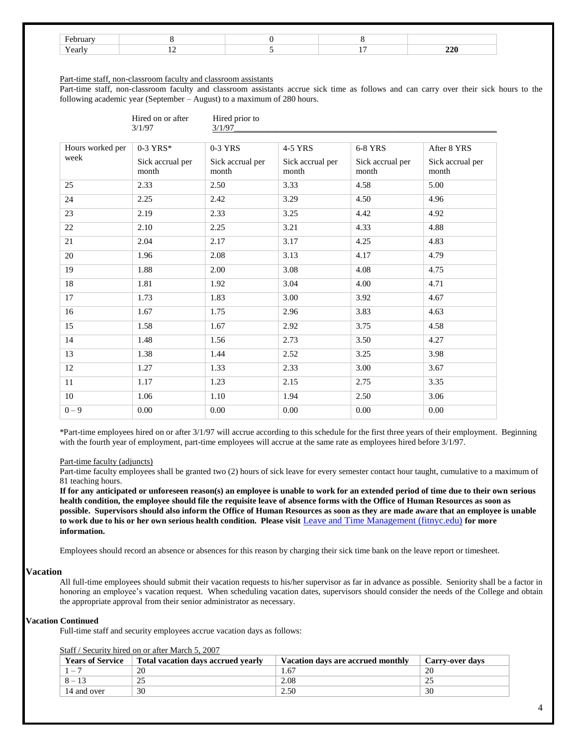# Part-time staff, non-classroom faculty and classroom assistants

Part-time staff, non-classroom faculty and classroom assistants accrue sick time as follows and can carry over their sick hours to the following academic year (September – August) to a maximum of 280 hours.

|                  | Hired on or after<br>3/1/97 | Hired prior to<br>3/1/97  |                           |                           |                           |
|------------------|-----------------------------|---------------------------|---------------------------|---------------------------|---------------------------|
| Hours worked per | $0-3$ YRS*                  | 0-3 YRS                   | 4-5 YRS                   | 6-8 YRS                   | After 8 YRS               |
| week             | Sick accrual per<br>month   | Sick accrual per<br>month | Sick accrual per<br>month | Sick accrual per<br>month | Sick accrual per<br>month |
| 25               | 2.33                        | 2.50                      | 3.33                      | 4.58                      | 5.00                      |
| 24               | 2.25                        | 2.42                      | 3.29                      | 4.50                      | 4.96                      |
| 23               | 2.19                        | 2.33                      | 3.25                      | 4.42                      | 4.92                      |
| 22               | 2.10                        | 2.25                      | 3.21                      | 4.33                      | 4.88                      |
| 21               | 2.04                        | 2.17                      | 3.17                      | 4.25                      | 4.83                      |
| 20               | 1.96                        | 2.08                      | 3.13                      | 4.17                      | 4.79                      |
| 19               | 1.88                        | 2.00                      | 3.08                      | 4.08                      | 4.75                      |
| 18               | 1.81                        | 1.92                      | 3.04                      | 4.00                      | 4.71                      |
| 17               | 1.73                        | 1.83                      | 3.00                      | 3.92                      | 4.67                      |
| 16               | 1.67                        | 1.75                      | 2.96                      | 3.83                      | 4.63                      |
| 15               | 1.58                        | 1.67                      | 2.92                      | 3.75                      | 4.58                      |
| 14               | 1.48                        | 1.56                      | 2.73                      | 3.50                      | 4.27                      |
| 13               | 1.38                        | 1.44                      | 2.52                      | 3.25                      | 3.98                      |
| 12               | 1.27                        | 1.33                      | 2.33                      | 3.00                      | 3.67                      |
| 11               | 1.17                        | 1.23                      | 2.15                      | 2.75                      | 3.35                      |
| 10               | 1.06                        | 1.10                      | 1.94                      | 2.50                      | 3.06                      |
| $0 - 9$          | 0.00                        | 0.00                      | 0.00                      | 0.00                      | $0.00\,$                  |

\*Part-time employees hired on or after 3/1/97 will accrue according to this schedule for the first three years of their employment. Beginning with the fourth year of employment, part-time employees will accrue at the same rate as employees hired before  $3/1/97$ .

## Part-time faculty (adjuncts)

Part-time faculty employees shall be granted two (2) hours of sick leave for every semester contact hour taught, cumulative to a maximum of 81 teaching hours.

**If for any anticipated or unforeseen reason(s) an employee is unable to work for an extended period of time due to their own serious health condition, the employee should file the requisite leave of absence forms with the Office of Human Resources as soon as possible. Supervisors should also inform the Office of Human Resources as soon as they are made aware that an employee is unable to work due to his or her own serious health condition. Please visit** [Leave and Time Management \(fitnyc.edu\)](https://www.fitnyc.edu/about/administration/hr/current-employees/leave-management/) **for more information.** 

Employees should record an absence or absences for this reason by charging their sick time bank on the leave report or timesheet.

## **Vacation**

All full-time employees should submit their vacation requests to his/her supervisor as far in advance as possible. Seniority shall be a factor in honoring an employee's vacation request. When scheduling vacation dates, supervisors should consider the needs of the College and obtain the appropriate approval from their senior administrator as necessary.

# **Vacation Continued**

Full-time staff and security employees accrue vacation days as follows:

Staff / Security hired on or after March 5, 2007

| <b>Years of Service</b> | Total vacation days accrued yearly | Vacation days are accrued monthly | <b>Carry-over days</b> |
|-------------------------|------------------------------------|-----------------------------------|------------------------|
|                         |                                    | $.6-$                             | 20                     |
|                         |                                    | 2.08                              |                        |
| 14 and over             | 30                                 | 2.50                              | 30                     |